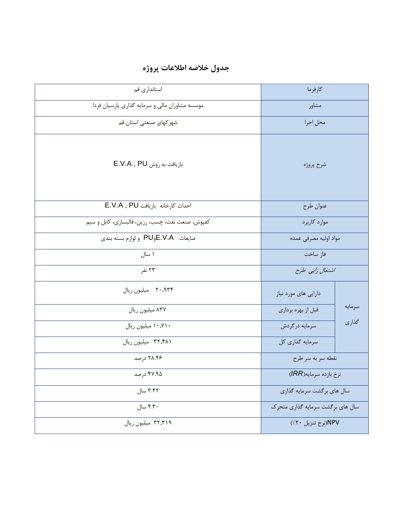|  | جدول خلاصه اطلاعات پروژه |  |  |
|--|--------------------------|--|--|
|--|--------------------------|--|--|

| استانداری قم                                     | كارفرما                          |        |
|--------------------------------------------------|----------------------------------|--------|
| موسسه مشاوران مالی و سرمایه گذاری پارسیان فردا   | مشاور                            |        |
| شهركهاي صنعتي استان قم                           | محل اجرا                         |        |
| $E.V.A$ , PU بازیافت به روش                      | شرح پروژه                        |        |
| احداث كارخانه بازيافت E.V.A, PU                  | عنوان طرح                        |        |
| كفپوش، صنعت نفت، چسب، رزين، قالبسازي، كابل و سيم | موارد كاربرد                     |        |
| ضايعات E.V.AوPU و لوازم بسته بندي                | مواد اوليه مصرفى عمده            |        |
| ۱ سال                                            | فاز ساخت                         |        |
| ۲۳ نفر                                           | اشتغال زایی طرح                  |        |
| ٢٠,٩٣۴ ميليون ريال                               | دارایی های مورد نیاز             |        |
| ۸۳۷ میلیون ریال                                  | قبل از بهره برداري               | سرمايه |
| ۱۰٫۷۱۰ میلیون ریال                               | سرمايه درگردش                    | گذاری  |
| ۳۲٬۴۸۱ میلیون ریال                               | سرمايه گذاري كل                  |        |
| ۲۸.۴۶ درصد                                       | نقطه سربه سرطرح                  |        |
| ۴۷.۹۵ درصد                                       | نرخ بازده سرمايه(IRR)            |        |
| ۳.۴۲ سال                                         | سال های برگشت سرمایه گذاری       |        |
| ۴.۳۰ سال                                         | سال های برگشت سرمایه گذاری متحرک |        |
| ۳۲٫۳۱۹ میلیون ریال                               | NPV(نرخ تنزيل ٢٠/)               |        |